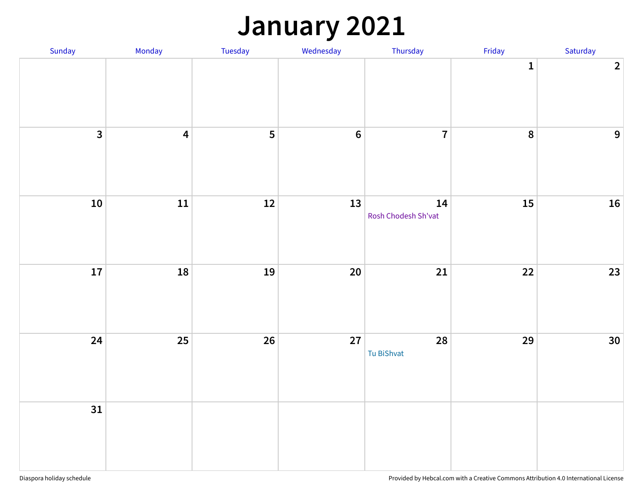### **January 2021**

| Sunday                  | Monday                  | Tuesday | Wednesday      | Thursday                  | Friday           | Saturday       |
|-------------------------|-------------------------|---------|----------------|---------------------------|------------------|----------------|
|                         |                         |         |                |                           | $\mathbf 1$      | $\overline{2}$ |
| $\overline{\mathbf{3}}$ | $\overline{\mathbf{4}}$ | 5       | $6\phantom{a}$ | $\overline{7}$            | $\boldsymbol{8}$ | $\overline{9}$ |
| 10                      | 11                      | $12$    | 13             | 14<br>Rosh Chodesh Sh'vat | 15               | 16             |
| 17                      | 18                      | 19      | 20             | $21$                      | 22               | $23$           |
| 24                      | 25                      | 26      | 27             | 28<br>Tu BiShvat          | 29               | 30             |
| 31                      |                         |         |                |                           |                  |                |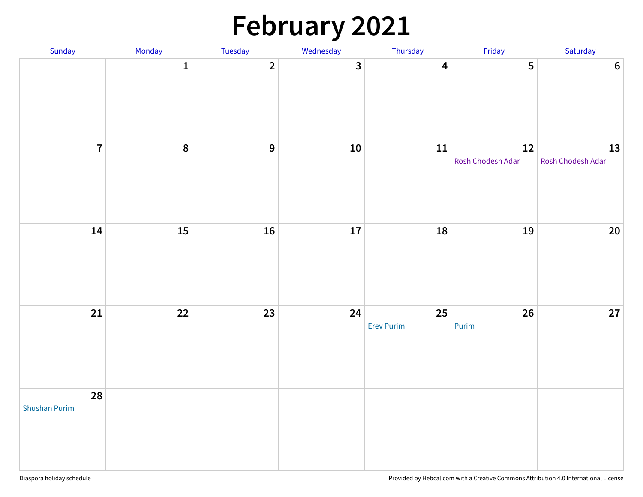# **February 2021**

| Sunday                     | Monday       | Tuesday        | Wednesday    | Thursday                | Friday                  | Saturday                |
|----------------------------|--------------|----------------|--------------|-------------------------|-------------------------|-------------------------|
|                            | $\mathbf{1}$ | $\overline{2}$ | $\mathbf{3}$ | $\overline{\mathbf{4}}$ | 5                       | $\boldsymbol{6}$        |
| $\overline{7}$             | 8            | $\overline{9}$ | ${\bf 10}$   | ${\bf 11}$              | 12<br>Rosh Chodesh Adar | 13<br>Rosh Chodesh Adar |
| 14                         | 15           | 16             | $17\,$       | 18                      | 19                      | $20\,$                  |
| 21                         | 22           | 23             | 24           | 25<br><b>Erev Purim</b> | 26<br>Purim             | $27\,$                  |
| 28<br><b>Shushan Purim</b> |              |                |              |                         |                         |                         |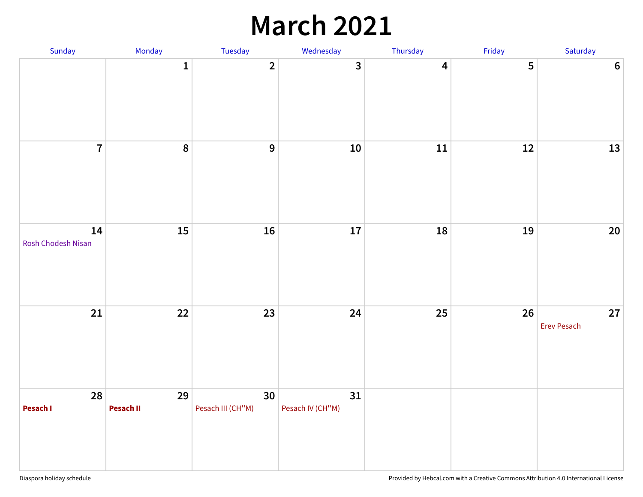## **March 2021**

| Sunday                   | Monday          | Tuesday                 | Wednesday               | Thursday                | Friday | Saturday                 |
|--------------------------|-----------------|-------------------------|-------------------------|-------------------------|--------|--------------------------|
|                          | $\mathbf 1$     | $\overline{2}$          | $\overline{\mathbf{3}}$ | $\overline{\mathbf{4}}$ | 5      | $6\phantom{1}6$          |
| $\overline{7}$           | 8               | $\mathbf{9}$            | 10 <sup>°</sup>         | ${\bf 11}$              | $12\,$ | 13                       |
| 14<br>Rosh Chodesh Nisan | 15              | 16                      | 17                      | 18                      | 19     | $20\,$                   |
| 21                       | 22              | 23                      | 24                      | 25                      | 26     | 27<br><b>Erev Pesach</b> |
| 28<br>Pesach I           | 29<br>Pesach II | 30<br>Pesach III (CH"M) | 31<br>Pesach IV (CH"M)  |                         |        |                          |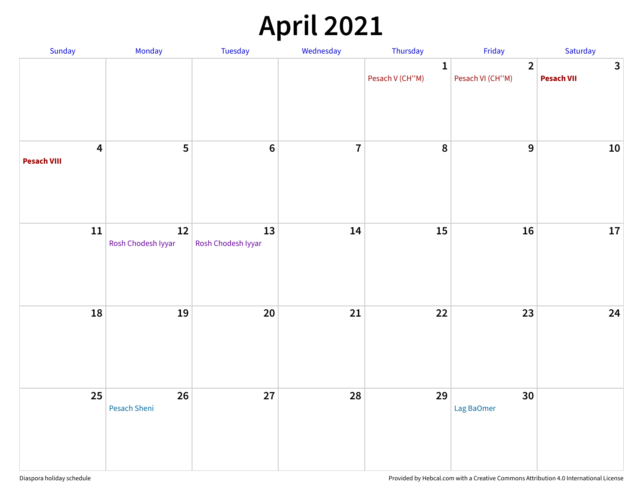# **April 2021**

| Sunday                                        | Monday                       | Tuesday                  | Wednesday      | Thursday                        | Friday                             | Saturday                          |
|-----------------------------------------------|------------------------------|--------------------------|----------------|---------------------------------|------------------------------------|-----------------------------------|
|                                               |                              |                          |                | $\mathbf{1}$<br>Pesach V (CH"M) | $\overline{2}$<br>Pesach VI (CH"M) | $\mathbf{3}$<br><b>Pesach VII</b> |
| $\overline{\mathbf{4}}$<br><b>Pesach VIII</b> | 5                            | $\bf 6$                  | $\overline{7}$ | 8                               | 9                                  | 10                                |
| ${\bf 11}$                                    | $12\,$<br>Rosh Chodesh Iyyar | 13<br>Rosh Chodesh Iyyar | 14             | 15                              | 16                                 | ${\bf 17}$                        |
| 18                                            | 19                           | 20                       | 21             | 22                              | 23                                 | 24                                |
| 25                                            | 26<br>Pesach Sheni           | 27                       | 28             | 29                              | 30<br>Lag BaOmer                   |                                   |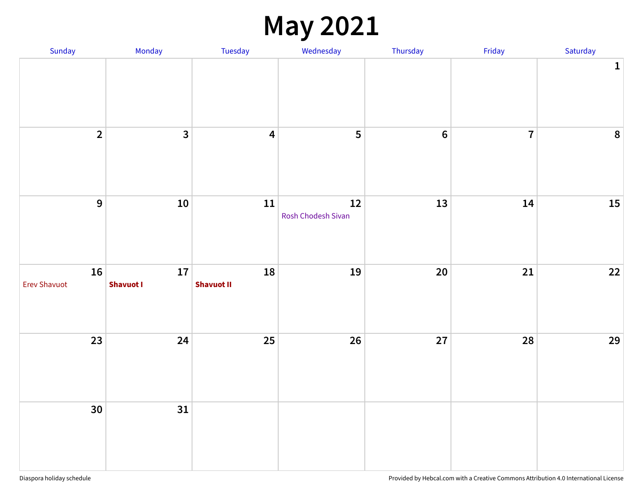## **May 2021**

| Sunday                    | Monday                  | Tuesday                 | Wednesday                | Thursday | Friday         | Saturday    |
|---------------------------|-------------------------|-------------------------|--------------------------|----------|----------------|-------------|
|                           |                         |                         |                          |          |                | $\mathbf 1$ |
| $\overline{2}$            | $\overline{\mathbf{3}}$ | $\overline{\mathbf{4}}$ | $\overline{\mathbf{5}}$  | $\bf 6$  | $\overline{7}$ | $\pmb{8}$   |
| $\overline{9}$            | ${\bf 10}$              | ${\bf 11}$              | 12<br>Rosh Chodesh Sivan | 13       | 14             | $15\,$      |
| 16<br><b>Erev Shavuot</b> | 17<br><b>Shavuot I</b>  | 18<br><b>Shavuot II</b> | 19                       | $20\,$   | 21             | $22$        |
| 23                        | 24                      | 25                      | 26                       | 27       | 28             | 29          |
| 30 <sup>°</sup>           | 31                      |                         |                          |          |                |             |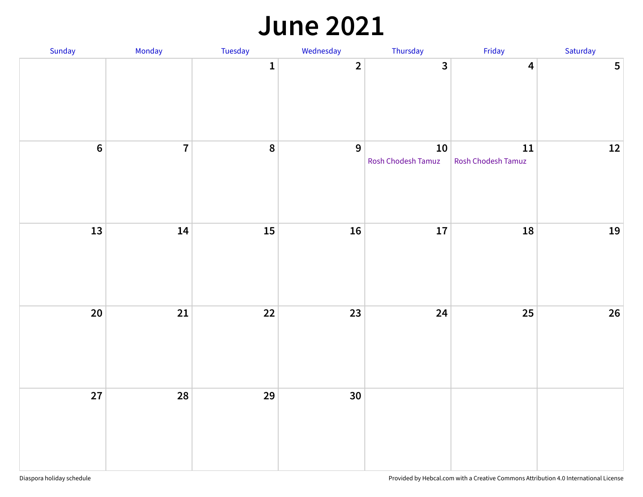#### **June 2021**

| Sunday          | Monday         | Tuesday          | Wednesday               | Thursday                     | Friday                           | Saturday       |
|-----------------|----------------|------------------|-------------------------|------------------------------|----------------------------------|----------------|
|                 |                | $\mathbf 1$      | $\overline{\mathbf{2}}$ | $\overline{\mathbf{3}}$      | $\overline{\mathbf{4}}$          | $5\phantom{a}$ |
| $6\overline{6}$ | $\overline{7}$ | $\boldsymbol{8}$ | $\overline{9}$          | $10\,$<br>Rosh Chodesh Tamuz | ${\bf 11}$<br>Rosh Chodesh Tamuz | $12$           |
| 13              | 14             | 15               | 16                      | ${\bf 17}$                   | 18                               | 19             |
| $20\degree$     | 21             | 22               | 23                      | 24                           | 25                               | 26             |
| 27              | 28             | 29               | 30 <sub>o</sub>         |                              |                                  |                |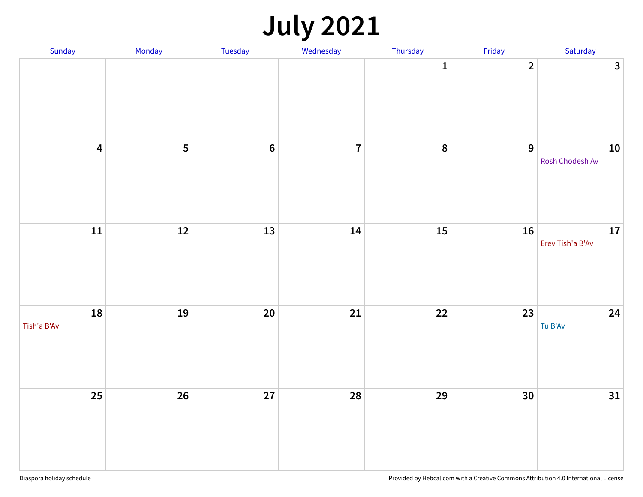# **July 2021**

| Sunday                  | Monday | Tuesday        | Wednesday      | Thursday     | Friday                  | Saturday                       |
|-------------------------|--------|----------------|----------------|--------------|-------------------------|--------------------------------|
|                         |        |                |                | $\mathbf{1}$ | $\overline{\mathbf{2}}$ | $\overline{\mathbf{3}}$        |
| $\overline{\mathbf{4}}$ | 5      | $6\phantom{a}$ | $\overline{7}$ | 8            | $\overline{9}$          | ${\bf 10}$<br>Rosh Chodesh Av  |
| 11                      | $12$   | 13             | 14             | 15           | 16                      | ${\bf 17}$<br>Erev Tish'a B'Av |
| 18<br>Tish'a B'Av       | 19     | 20             | 21             | 22           | 23                      | 24<br>Tu B'Av                  |
| $25\overline{)}$        | 26     | 27             | 28             | 29           | 30                      | 31                             |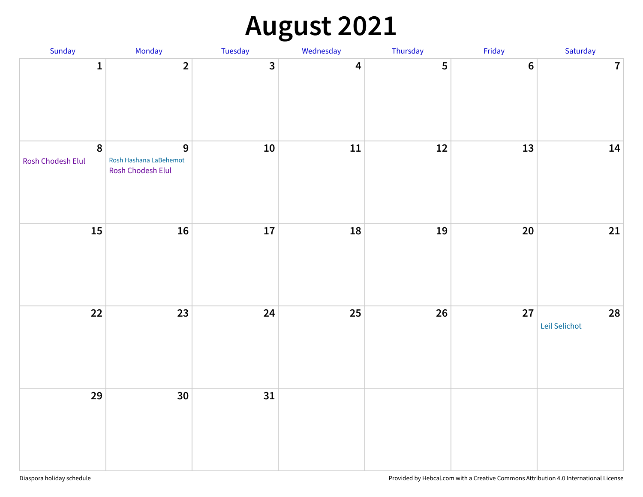# **August 2021**

| Sunday                                | Monday                                           | Tuesday                 | Wednesday               | Thursday | Friday  | Saturday            |
|---------------------------------------|--------------------------------------------------|-------------------------|-------------------------|----------|---------|---------------------|
| $\mathbf{1}$                          | $\overline{\mathbf{2}}$                          | $\overline{\mathbf{3}}$ | $\overline{\mathbf{4}}$ | 5        | $\bf 6$ | $\overline{7}$      |
| $\boldsymbol{8}$<br>Rosh Chodesh Elul | 9<br>Rosh Hashana LaBehemot<br>Rosh Chodesh Elul | ${\bf 10}$              | ${\bf 11}$              | $12\,$   | 13      | 14                  |
| 15                                    | 16                                               | 17                      | 18                      | 19       | 20      | $21\,$              |
| $22$                                  | 23                                               | 24                      | $25\phantom{.0}$        | $26\,$   | 27      | 28<br>Leil Selichot |
| 29                                    | 30                                               | 31                      |                         |          |         |                     |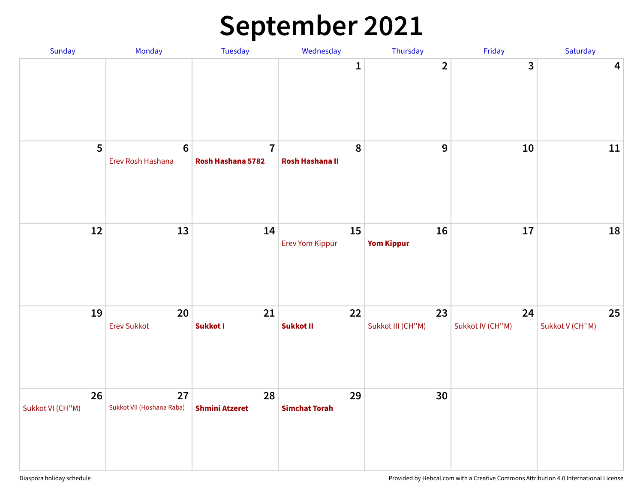# **September 2021**

| Sunday                 | Monday                          | Tuesday                             | Wednesday                    | Thursday                | Friday                 | Saturday                |
|------------------------|---------------------------------|-------------------------------------|------------------------------|-------------------------|------------------------|-------------------------|
|                        |                                 |                                     | $\mathbf{1}$                 | $\overline{2}$          | $\mathbf{3}$           | $\overline{\mathbf{4}}$ |
| 5                      | $\bf 6$<br>Erev Rosh Hashana    | $\overline{7}$<br>Rosh Hashana 5782 | 8<br><b>Rosh Hashana II</b>  | 9                       | ${\bf 10}$             | $11\,$                  |
| 12                     | 13                              | 14                                  | 15<br><b>Erev Yom Kippur</b> | 16<br><b>Yom Kippur</b> | 17                     | 18                      |
| 19                     | 20<br><b>Erev Sukkot</b>        | 21<br>Sukkot I                      | 22<br>Sukkot II              | 23<br>Sukkot III (CH"M) | 24<br>Sukkot IV (CH"M) | 25<br>Sukkot V (CH"M)   |
| 26<br>Sukkot VI (CH"M) | 27<br>Sukkot VII (Hoshana Raba) | 28<br><b>Shmini Atzeret</b>         | 29<br><b>Simchat Torah</b>   | 30                      |                        |                         |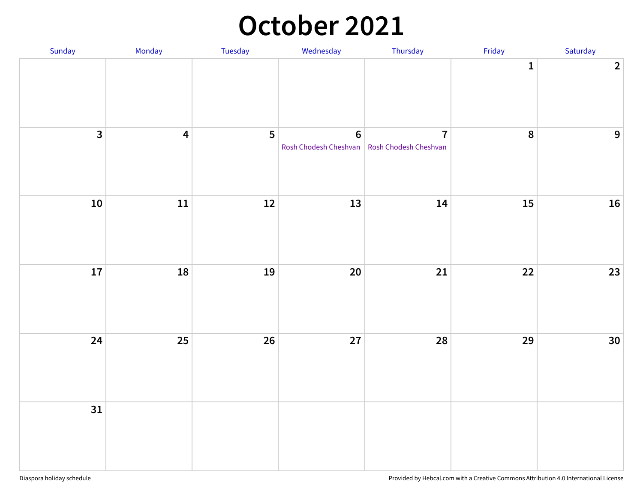#### **October 2021**

| Sunday                  | Monday                  | Tuesday        | Wednesday                                                         | Thursday       | Friday       | Saturday       |
|-------------------------|-------------------------|----------------|-------------------------------------------------------------------|----------------|--------------|----------------|
|                         |                         |                |                                                                   |                | $\mathbf{1}$ | $\overline{2}$ |
| $\overline{\mathbf{3}}$ | $\overline{\mathbf{4}}$ | $5\phantom{a}$ | $\boldsymbol{6}$<br>Rosh Chodesh Cheshvan   Rosh Chodesh Cheshvan | $\overline{7}$ | 8            | $\overline{9}$ |
| ${\bf 10}$              | ${\bf 11}$              | $12$           | 13                                                                | 14             | 15           | 16             |
| 17                      | 18                      | 19             | $20\,$                                                            | 21             | 22           | 23             |
| 24                      | 25                      | 26             | 27                                                                | 28             | 29           | 30             |
| 31                      |                         |                |                                                                   |                |              |                |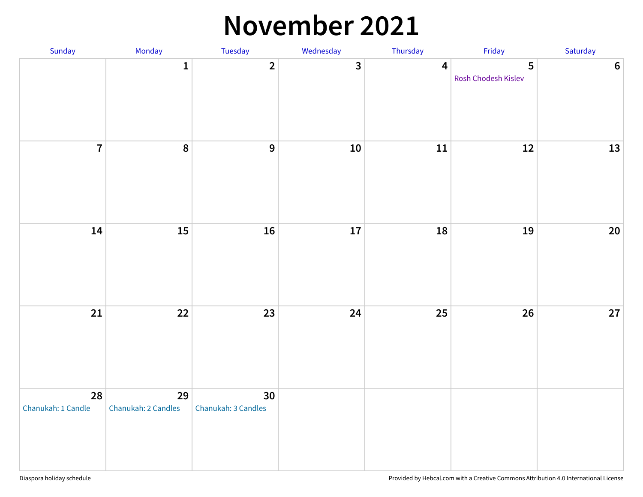#### **November 2021**

| Sunday                   | Monday                    | Tuesday                   | Wednesday               | Thursday                | Friday                   | Saturday       |
|--------------------------|---------------------------|---------------------------|-------------------------|-------------------------|--------------------------|----------------|
|                          | $\mathbf 1$               | $\overline{2}$            | $\overline{\mathbf{3}}$ | $\overline{\mathbf{4}}$ | 5<br>Rosh Chodesh Kislev | $6\phantom{a}$ |
| $\overline{7}$           | 8                         | $\mathbf{9}$              | 10 <sup>°</sup>         | ${\bf 11}$              | $12\,$                   | 13             |
| 14                       | 15                        | 16                        | 17                      | 18                      | 19                       | 20             |
| 21                       | 22                        | 23                        | 24                      | 25                      | 26                       | 27             |
| 28<br>Chanukah: 1 Candle | 29<br>Chanukah: 2 Candles | 30<br>Chanukah: 3 Candles |                         |                         |                          |                |